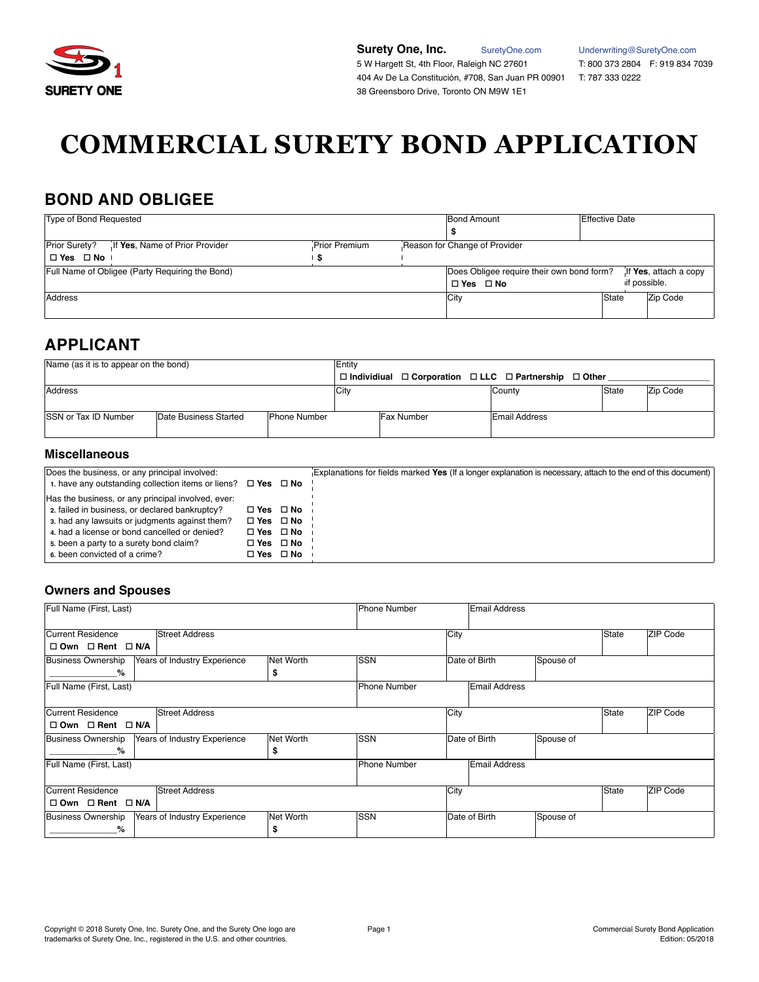

**Surety One, Inc.** [SuretyOne.com](https://suretyone.com) [Underwriting@SuretyOne.com](mailto:Underwriting%40SuretyOne.com?subject=)<br>
5 W Hargett St, 4th Floor, Raleigh NC 27601 T: 800 373 2804 F: 919 834 7039 5 W Hargett St, 4th Floor, Raleigh NC 27601 404 Av De La Constitución, #708, San Juan PR 00901 T: 787 333 0222 38 Greensboro Drive, Toronto ON M9W 1E1

# **COMMERCIAL SURETY BOND APPLICATION**

### **BOND AND OBLIGEE**

| Type of Bond Requested                       |                                                 | <b>Bond Amount</b><br><b>Effective Date</b> |  |                                                                   |       |              |                       |
|----------------------------------------------|-------------------------------------------------|---------------------------------------------|--|-------------------------------------------------------------------|-------|--------------|-----------------------|
| Prior Surety?<br>$\Box$ Yes $\Box$ No $\Box$ | If Yes, Name of Prior Provider                  | Prior Premium<br>-S                         |  | Reason for Change of Provider                                     |       |              |                       |
|                                              | Full Name of Obligee (Party Requiring the Bond) |                                             |  | Does Obligee require their own bond form?<br>$\Box$ Yes $\Box$ No |       | if possible. | If Yes, attach a copy |
| Address                                      |                                                 |                                             |  | <b>City</b>                                                       | State |              | Zip Code              |

# **APPLICANT**

| Name (as it is to appear on the bond)<br>Entity |                       |                     |      |                                                                     |               |                   |  |
|-------------------------------------------------|-----------------------|---------------------|------|---------------------------------------------------------------------|---------------|-------------------|--|
|                                                 |                       |                     |      | $\Box$ Individiual $\Box$ Corporation $\Box$ LLC $\Box$ Partnership | □ Other       |                   |  |
| Address                                         |                       |                     | City |                                                                     | County        | State<br>Zip Code |  |
| <b>SSN or Tax ID Number</b>                     | Date Business Started | <b>Phone Number</b> |      | <b>Fax Number</b>                                                   | Email Address |                   |  |

### **Miscellaneous**

| Does the business, or any principal involved:<br>1. have any outstanding collection items or liens? $\Box$ Yes $\Box$ No                   |                                                                      | Explanations for fields marked Yes (If a longer explanation is necessary, attach to the end of this document) |
|--------------------------------------------------------------------------------------------------------------------------------------------|----------------------------------------------------------------------|---------------------------------------------------------------------------------------------------------------|
| Has the business, or any principal involved, ever:<br>2. failed in business, or declared bankruptcy?                                       | $\Box$ Yes $\Box$ No                                                 |                                                                                                               |
| 3. had any lawsuits or judgments against them?<br>4. had a license or bond cancelled or denied?<br>5. been a party to a surety bond claim? | $\Box$ Yes $\Box$ No<br>$\Box$ Yes $\Box$ No<br>$\Box$ Yes $\Box$ No |                                                                                                               |
| 6. been convicted of a crime?                                                                                                              | □ Yes □ No                                                           |                                                                                                               |

### **Owners and Spouses**

| Full Name (First, Last)                                   |           | Phone Number        | <b>Email Address</b> |                      |           |       |          |
|-----------------------------------------------------------|-----------|---------------------|----------------------|----------------------|-----------|-------|----------|
| Current Residence<br><b>Street Address</b>                |           |                     | City                 |                      |           | State | ZIP Code |
| $\Box$ Own $\Box$ Rent $\Box$ N/A                         |           |                     |                      |                      |           |       |          |
| Business Ownership<br>Years of Industry Experience        | Net Worth | <b>ISSN</b>         |                      | Date of Birth        | Spouse of |       |          |
| %                                                         | \$        |                     |                      |                      |           |       |          |
| Full Name (First, Last)                                   |           | <b>Phone Number</b> |                      | <b>Email Address</b> |           |       |          |
| Current Residence<br><b>Street Address</b>                |           |                     | City                 |                      |           | State | ZIP Code |
| □ Own □ Rent □ N/A                                        |           |                     |                      |                      |           |       |          |
| <b>Business Ownership</b><br>Years of Industry Experience | Net Worth | <b>SSN</b>          |                      | Date of Birth        | Spouse of |       |          |
| %                                                         | \$        |                     |                      |                      |           |       |          |
| Full Name (First, Last)                                   |           | Phone Number        |                      | <b>Email Address</b> |           |       |          |
| Current Residence<br><b>Street Address</b>                |           |                     | City                 |                      |           | State | ZIP Code |
| □ Own □ Rent □ N/A                                        |           |                     |                      |                      |           |       |          |
| <b>Business Ownership</b><br>Years of Industry Experience | Net Worth | <b>SSN</b>          |                      | Date of Birth        | Spouse of |       |          |
| %                                                         | S         |                     |                      |                      |           |       |          |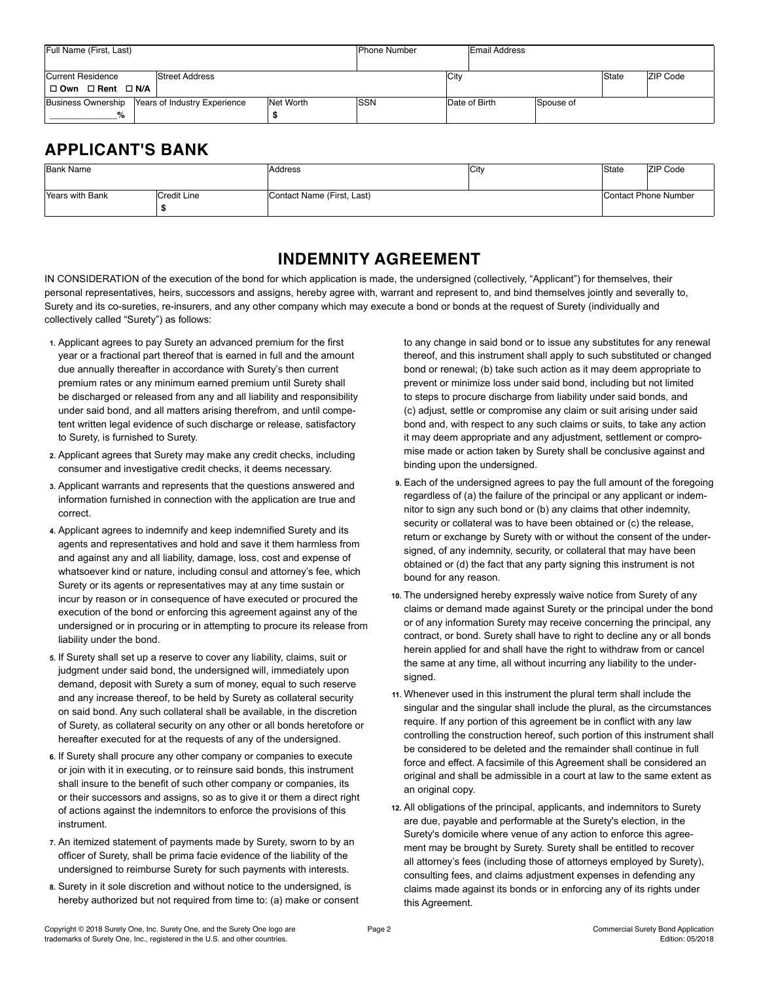| Full Name (First, Last)                           |  | <b>Phone Number</b> |             | <b>Email Address</b> |               |           |       |                 |
|---------------------------------------------------|--|---------------------|-------------|----------------------|---------------|-----------|-------|-----------------|
|                                                   |  |                     |             |                      |               |           |       |                 |
| Street Address<br>Current Residence               |  |                     |             | City                 |               |           | State | <b>ZIP Code</b> |
| □ Own □ Rent □ N/A                                |  |                     |             |                      |               |           |       |                 |
| Business Ownership   Years of Industry Experience |  | Net Worth           | <b>ISSN</b> |                      | Date of Birth | Spouse of |       |                 |
| %                                                 |  |                     |             |                      |               |           |       |                 |

# **APPLICANT'S BANK**

| Bank Name                      |  | Address                    | City | State | <b>ZIP Code</b>      |  |
|--------------------------------|--|----------------------------|------|-------|----------------------|--|
| Years with Bank<br>Credit Line |  | Contact Name (First, Last) |      |       | Contact Phone Number |  |
|                                |  |                            |      |       |                      |  |

### **INDEMNITY AGREEMENT**

IN CONSIDERATION of the execution of the bond for which application is made, the undersigned (collectively, "Applicant") for themselves, their personal representatives, heirs, successors and assigns, hereby agree with, warrant and represent to, and bind themselves jointly and severally to, Surety and its co-sureties, re-insurers, and any other company which may execute a bond or bonds at the request of Surety (individually and collectively called "Surety") as follows:

- **1.** Applicant agrees to pay Surety an advanced premium for the first year or a fractional part thereof that is earned in full and the amount due annually thereafter in accordance with Surety's then current premium rates or any minimum earned premium until Surety shall be discharged or released from any and all liability and responsibility under said bond, and all matters arising therefrom, and until competent written legal evidence of such discharge or release, satisfactory to Surety, is furnished to Surety.
- **2.** Applicant agrees that Surety may make any credit checks, including consumer and investigative credit checks, it deems necessary.
- **3.** Applicant warrants and represents that the questions answered and information furnished in connection with the application are true and correct.
- **4.** Applicant agrees to indemnify and keep indemnified Surety and its agents and representatives and hold and save it them harmless from and against any and all liability, damage, loss, cost and expense of whatsoever kind or nature, including consul and attorney's fee, which Surety or its agents or representatives may at any time sustain or incur by reason or in consequence of have executed or procured the execution of the bond or enforcing this agreement against any of the undersigned or in procuring or in attempting to procure its release from liability under the bond.
- **5.** If Surety shall set up a reserve to cover any liability, claims, suit or judgment under said bond, the undersigned will, immediately upon demand, deposit with Surety a sum of money, equal to such reserve and any increase thereof, to be held by Surety as collateral security on said bond. Any such collateral shall be available, in the discretion of Surety, as collateral security on any other or all bonds heretofore or hereafter executed for at the requests of any of the undersigned.
- **6.** If Surety shall procure any other company or companies to execute or join with it in executing, or to reinsure said bonds, this instrument shall insure to the benefit of such other company or companies, its or their successors and assigns, so as to give it or them a direct right of actions against the indemnitors to enforce the provisions of this instrument.
- **7.** An itemized statement of payments made by Surety, sworn to by an officer of Surety, shall be prima facie evidence of the liability of the undersigned to reimburse Surety for such payments with interests.
- **8.** Surety in it sole discretion and without notice to the undersigned, is hereby authorized but not required from time to: (a) make or consent

to any change in said bond or to issue any substitutes for any renewal thereof, and this instrument shall apply to such substituted or changed bond or renewal; (b) take such action as it may deem appropriate to prevent or minimize loss under said bond, including but not limited to steps to procure discharge from liability under said bonds, and (c) adjust, settle or compromise any claim or suit arising under said bond and, with respect to any such claims or suits, to take any action it may deem appropriate and any adjustment, settlement or compromise made or action taken by Surety shall be conclusive against and binding upon the undersigned.

- **9.** Each of the undersigned agrees to pay the full amount of the foregoing regardless of (a) the failure of the principal or any applicant or indemnitor to sign any such bond or (b) any claims that other indemnity, security or collateral was to have been obtained or (c) the release, return or exchange by Surety with or without the consent of the undersigned, of any indemnity, security, or collateral that may have been obtained or (d) the fact that any party signing this instrument is not bound for any reason.
- **10.** The undersigned hereby expressly waive notice from Surety of any claims or demand made against Surety or the principal under the bond or of any information Surety may receive concerning the principal, any contract, or bond. Surety shall have to right to decline any or all bonds herein applied for and shall have the right to withdraw from or cancel the same at any time, all without incurring any liability to the undersigned.
- **11.** Whenever used in this instrument the plural term shall include the singular and the singular shall include the plural, as the circumstances require. If any portion of this agreement be in conflict with any law controlling the construction hereof, such portion of this instrument shall be considered to be deleted and the remainder shall continue in full force and effect. A facsimile of this Agreement shall be considered an original and shall be admissible in a court at law to the same extent as an original copy.
- **12.** All obligations of the principal, applicants, and indemnitors to Surety are due, payable and performable at the Surety's election, in the Surety's domicile where venue of any action to enforce this agreement may be brought by Surety. Surety shall be entitled to recover all attorney's fees (including those of attorneys employed by Surety), consulting fees, and claims adjustment expenses in defending any claims made against its bonds or in enforcing any of its rights under this Agreement.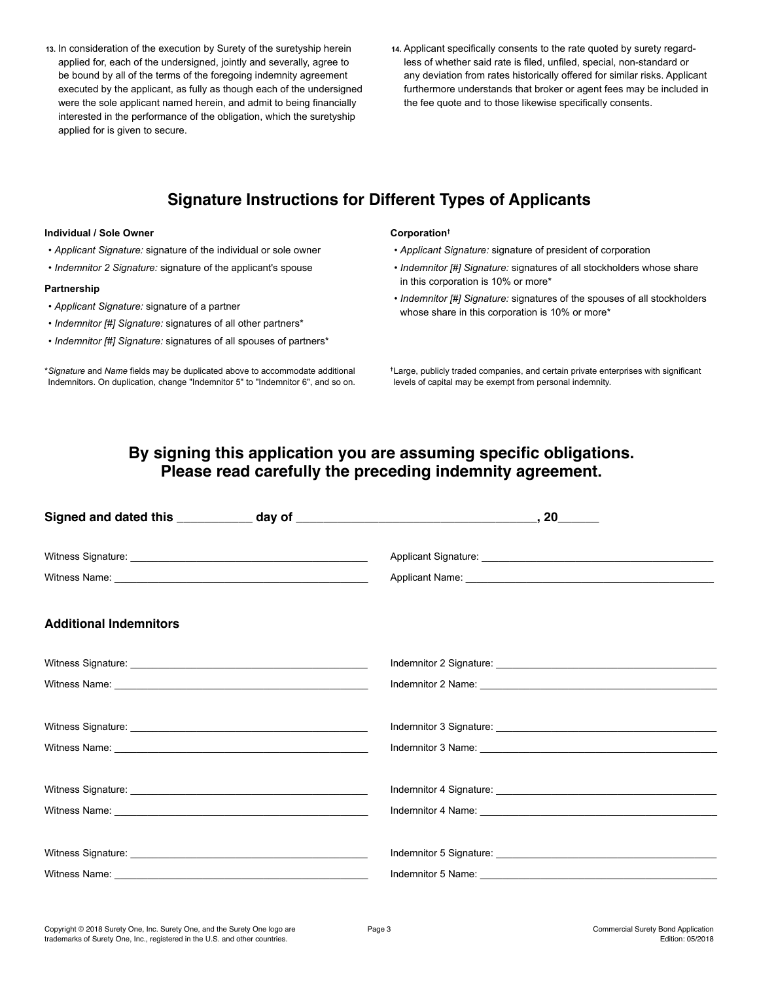- **13.** In consideration of the execution by Surety of the suretyship herein applied for, each of the undersigned, jointly and severally, agree to be bound by all of the terms of the foregoing indemnity agreement executed by the applicant, as fully as though each of the undersigned were the sole applicant named herein, and admit to being financially interested in the performance of the obligation, which the suretyship applied for is given to secure.
- **14.** Applicant specifically consents to the rate quoted by surety regardless of whether said rate is filed, unfiled, special, non-standard or any deviation from rates historically offered for similar risks. Applicant furthermore understands that broker or agent fees may be included in the fee quote and to those likewise specifically consents.

### **Signature Instructions for Different Types of Applicants**

#### **Individual / Sole Owner**

- *Applicant Signature:* signature of the individual or sole owner
- *Indemnitor 2 Signature:* signature of the applicant's spouse

#### **Partnership**

- *Applicant Signature:* signature of a partner
- *Indemnitor [#] Signature:* signatures of all other partners\*
- *Indemnitor [#] Signature:* signatures of all spouses of partners\*

\**Signature* and *Name* fields may be duplicated above to accommodate additional Indemnitors. On duplication, change "Indemnitor 5" to "Indemnitor 6", and so on.

#### **Corporation†**

- *Applicant Signature:* signature of president of corporation
- *Indemnitor [#] Signature:* signatures of all stockholders whose share in this corporation is 10% or more\*
- *Indemnitor [#] Signature:* signatures of the spouses of all stockholders whose share in this corporation is 10% or more\*

**†**Large, publicly traded companies, and certain private enterprises with significant levels of capital may be exempt from personal indemnity.

### **By signing this application you are assuming specific obligations. Please read carefully the preceding indemnity agreement.**

| <b>Additional Indemnitors</b> |  |
|-------------------------------|--|
|                               |  |
|                               |  |
|                               |  |
|                               |  |
|                               |  |
|                               |  |
|                               |  |
|                               |  |